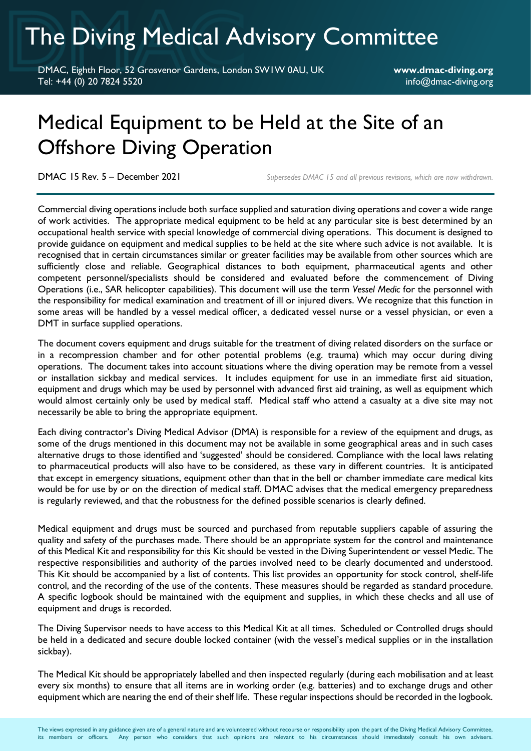# The Diving Medical Advisory Committee

DMAC, Eighth Floor, 52 Grosvenor Gardens, London SW1W 0AU, UK **www.dmac-diving.org** Tel: +44 (0) 20 7824 5520 info@dmac-diving.org

## Medical Equipment to be Held at the Site of an Offshore Diving Operation

DMAC 15 Rev. 5 – December 2021 *Supersedes DMAC 15 and all previous revisions, which are now withdrawn.*

Commercial diving operations include both surface supplied and saturation diving operations and cover a wide range of work activities. The appropriate medical equipment to be held at any particular site is best determined by an occupational health service with special knowledge of commercial diving operations. This document is designed to provide guidance on equipment and medical supplies to be held at the site where such advice is not available. It is recognised that in certain circumstances similar or greater facilities may be available from other sources which are sufficiently close and reliable. Geographical distances to both equipment, pharmaceutical agents and other competent personnel/specialists should be considered and evaluated before the commencement of Diving Operations (i.e., SAR helicopter capabilities). This document will use the term *Vessel Medic* for the personnel with the responsibility for medical examination and treatment of ill or injured divers. We recognize that this function in some areas will be handled by a vessel medical officer, a dedicated vessel nurse or a vessel physician, or even a DMT in surface supplied operations.

The document covers equipment and drugs suitable for the treatment of diving related disorders on the surface or in a recompression chamber and for other potential problems (e.g. trauma) which may occur during diving operations. The document takes into account situations where the diving operation may be remote from a vessel or installation sickbay and medical services. It includes equipment for use in an immediate first aid situation, equipment and drugs which may be used by personnel with advanced first aid training, as well as equipment which would almost certainly only be used by medical staff. Medical staff who attend a casualty at a dive site may not necessarily be able to bring the appropriate equipment.

Each diving contractor's Diving Medical Advisor (DMA) is responsible for a review of the equipment and drugs, as some of the drugs mentioned in this document may not be available in some geographical areas and in such cases alternative drugs to those identified and 'suggested' should be considered. Compliance with the local laws relating to pharmaceutical products will also have to be considered, as these vary in different countries. It is anticipated that except in emergency situations, equipment other than that in the bell or chamber immediate care medical kits would be for use by or on the direction of medical staff. DMAC advises that the medical emergency preparedness is regularly reviewed, and that the robustness for the defined possible scenarios is clearly defined.

Medical equipment and drugs must be sourced and purchased from reputable suppliers capable of assuring the quality and safety of the purchases made. There should be an appropriate system for the control and maintenance of this Medical Kit and responsibility for this Kit should be vested in the Diving Superintendent or vessel Medic. The respective responsibilities and authority of the parties involved need to be clearly documented and understood. This Kit should be accompanied by a list of contents. This list provides an opportunity for stock control, shelf-life control, and the recording of the use of the contents. These measures should be regarded as standard procedure. A specific logbook should be maintained with the equipment and supplies, in which these checks and all use of equipment and drugs is recorded.

The Diving Supervisor needs to have access to this Medical Kit at all times. Scheduled or Controlled drugs should be held in a dedicated and secure double locked container (with the vessel's medical supplies or in the installation sickbay).

The Medical Kit should be appropriately labelled and then inspected regularly (during each mobilisation and at least every six months) to ensure that all items are in working order (e.g. batteries) and to exchange drugs and other equipment which are nearing the end of their shelf life. These regular inspections should be recorded in the logbook.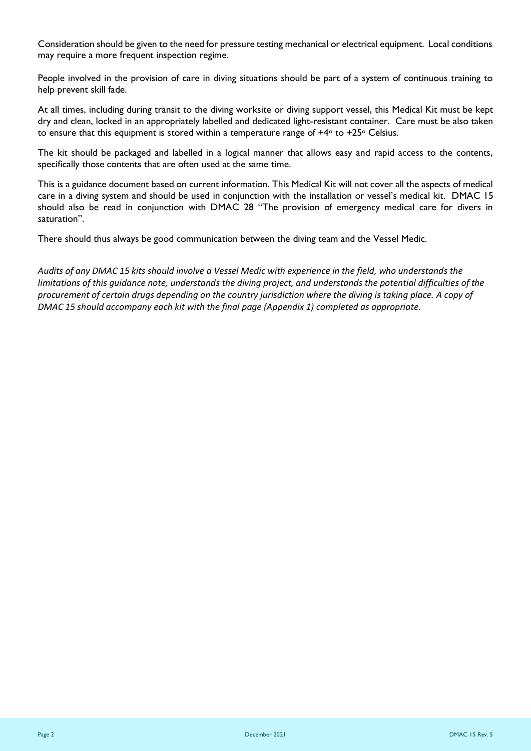Consideration should be given to the need for pressure testing mechanical or electrical equipment. Local conditions may require a more frequent inspection regime.

People involved in the provision of care in diving situations should be part of a system of continuous training to help prevent skill fade.

At all times, including during transit to the diving worksite or diving support vessel, this Medical Kit must be kept dry and clean, locked in an appropriately labelled and dedicated light-resistant container. Care must be also taken to ensure that this equipment is stored within a temperature range of  $+4\degree$  to  $+25\degree$  Celsius.

The kit should be packaged and labelled in a logical manner that allows easy and rapid access to the contents, specifically those contents that are often used at the same time.

This is a guidance document based on current information. This Medical Kit will not cover all the aspects of medical care in a diving system and should be used in conjunction with the installation or vessel's medical kit. DMAC 15 should also be read in conjunction with DMAC 28 "The provision of emergency medical care for divers in saturation".

There should thus always be good communication between the diving team and the Vessel Medic.

*Audits of any DMAC 15 kits should involve a Vessel Medic with experience in the field, who understands the limitations of this guidance note, understands the diving project, and understands the potential difficulties of the procurement of certain drugs depending on the country jurisdiction where the diving is taking place. A copy of DMAC 15 should accompany each kit with the final page (Appendix 1) completed as appropriate.*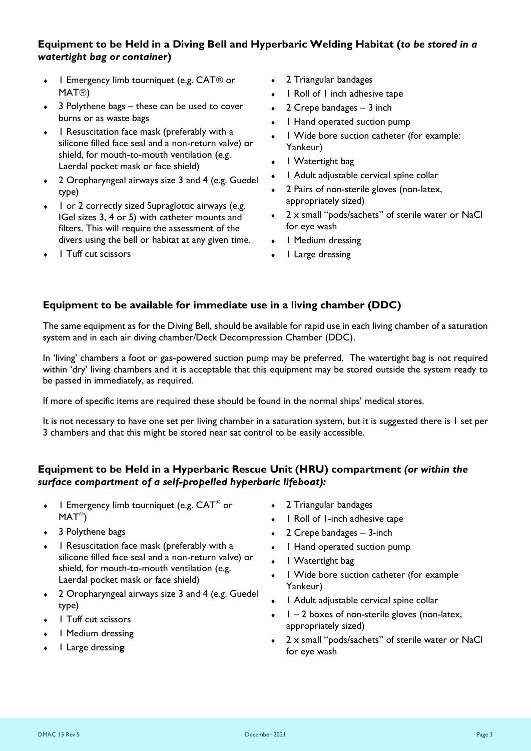## **Equipment to be Held in a Diving Bell and Hyperbaric Welding Habitat (***to be stored in a watertight bag or container***)**

- $\bullet$  1 Emergency limb tourniquet (e.g. CAT $\circledR$  or  $MAT$ <sup>(8)</sup>
- $\div$  3 Polythene bags these can be used to cover burns or as waste bags
- I Resuscitation face mask (preferably with a silicone filled face seal and a non-return valve) or shield, for mouth-to-mouth ventilation (e.g. Laerdal pocket mask or face shield)
- 2 Oropharyngeal airways size 3 and 4 (e.g. Guedel type)
- I or 2 correctly sized Supraglottic airways (e.g. IGel sizes 3, 4 or 5) with catheter mounts and filters. This will require the assessment of the divers using the bell or habitat at any given time.
- I Tuff cut scissors
- 2 Triangular bandages
- 1 Roll of 1 inch adhesive tape
- $\div$  2 Crepe bandages 3 inch
- 1 Hand operated suction pump
- 1 Wide bore suction catheter (for example: Yankeur)
- 1 Watertight bag
- 1 Adult adjustable cervical spine collar
- 2 Pairs of non-sterile gloves (non-latex, appropriately sized)
- 2 x small "pods/sachets" of sterile water or NaCl for eye wash
- I Medium dressing
- 1 Large dressing

## **Equipment to be available for immediate use in a living chamber (DDC)**

The same equipment as for the Diving Bell, should be available for rapid use in each living chamber of a saturation system and in each air diving chamber/Deck Decompression Chamber (DDC).

In 'living' chambers a foot or gas-powered suction pump may be preferred. The watertight bag is not required within 'dry' living chambers and it is acceptable that this equipment may be stored outside the system ready to be passed in immediately, as required.

If more of specific items are required these should be found in the normal ships' medical stores.

It is not necessary to have one set per living chamber in a saturation system, but it is suggested there is 1 set per 3 chambers and that this might be stored near sat control to be easily accessible.

## **Equipment to be Held in a Hyperbaric Rescue Unit (HRU) compartment** *(or within the surface compartment of a self-propelled hyperbaric lifeboat):*

- $\bullet$  1 Emergency limb tourniquet (e.g.  $CAT^{\circledast}$  or  $MAT^{\circledR})$
- ◆ 3 Polythene bags
- 1 Resuscitation face mask (preferably with a silicone filled face seal and a non-return valve) or shield, for mouth-to-mouth ventilation (e.g. Laerdal pocket mask or face shield)
- 2 Oropharyngeal airways size 3 and 4 (e.g. Guedel type)
- I Tuff cut scissors
- 1 Medium dressing
- 1 Large dressin**g**
- 2 Triangular bandages
- 1 Roll of 1-inch adhesive tape
- 2 Crepe bandages 3-inch
- I Hand operated suction pump
- 1 Watertight bag
- 1 Wide bore suction catheter (for example Yankeur)
- 1 Adult adjustable cervical spine collar
- $1 2$  boxes of non-sterile gloves (non-latex, appropriately sized)
- 2 x small "pods/sachets" of sterile water or NaCl for eye wash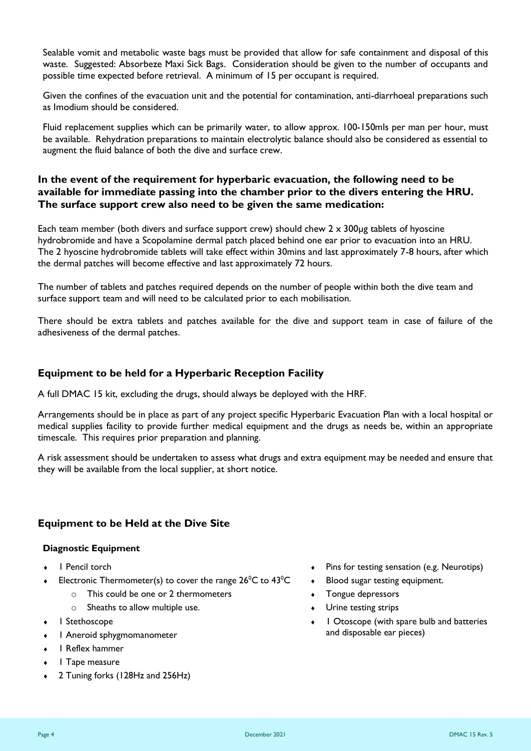Sealable vomit and metabolic waste bags must be provided that allow for safe containment and disposal of this waste. Suggested: Absorbeze Maxi Sick Bags. Consideration should be given to the number of occupants and possible time expected before retrieval. A minimum of 15 per occupant is required.

Given the confines of the evacuation unit and the potential for contamination, anti-diarrhoeal preparations such as Imodium should be considered.

Fluid replacement supplies which can be primarily water, to allow approx. 100-150mls per man per hour, must be available. Rehydration preparations to maintain electrolytic balance should also be considered as essential to augment the fluid balance of both the dive and surface crew.

## **In the event of the requirement for hyperbaric evacuation, the following need to be available for immediate passing into the chamber prior to the divers entering the HRU. The surface support crew also need to be given the same medication:**

Each team member (both divers and surface support crew) should chew  $2 \times 300$ µg tablets of hyoscine hydrobromide and have a Scopolamine dermal patch placed behind one ear prior to evacuation into an HRU. The 2 hyoscine hydrobromide tablets will take effect within 30mins and last approximately 7-8 hours, after which the dermal patches will become effective and last approximately 72 hours.

The number of tablets and patches required depends on the number of people within both the dive team and surface support team and will need to be calculated prior to each mobilisation.

There should be extra tablets and patches available for the dive and support team in case of failure of the adhesiveness of the dermal patches.

## **Equipment to be held for a Hyperbaric Reception Facility**

A full DMAC 15 kit, excluding the drugs, should always be deployed with the HRF.

Arrangements should be in place as part of any project specific Hyperbaric Evacuation Plan with a local hospital or medical supplies facility to provide further medical equipment and the drugs as needs be, within an appropriate timescale. This requires prior preparation and planning.

A risk assessment should be undertaken to assess what drugs and extra equipment may be needed and ensure that they will be available from the local supplier, at short notice.

## **Equipment to be Held at the Dive Site**

#### **Diagnostic Equipment**

- ◆ I Pencil torch
- Electronic Thermometer(s) to cover the range  $26^{\circ}$ C to  $43^{\circ}$ C
	- $\circ$  This could be one or 2 thermometers
	- o Sheaths to allow multiple use.
- 1 Stethoscope
- 1 Aneroid sphygmomanometer
- 1 Reflex hammer
- 1 Tape measure
- 2 Tuning forks (128Hz and 256Hz)
- Pins for testing sensation (e.g. Neurotips)
- Blood sugar testing equipment.
- Tongue depressors
- Urine testing strips
- 1 Otoscope (with spare bulb and batteries and disposable ear pieces)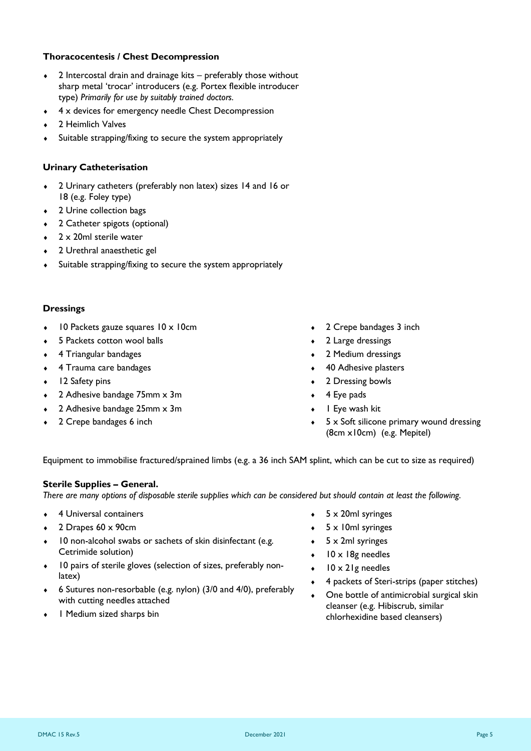## **Thoracocentesis / Chest Decompression**

- 2 Intercostal drain and drainage kits preferably those without sharp metal 'trocar' introducers (e.g. Portex flexible introducer type) *Primarily for use by suitably trained doctors.*
- 4 x devices for emergency needle Chest Decompression
- 2 Heimlich Valves
- Suitable strapping/fixing to secure the system appropriately

## **Urinary Catheterisation**

- 2 Urinary catheters (preferably non latex) sizes 14 and 16 or 18 (e.g. Foley type)
- 2 Urine collection bags
- 2 Catheter spigots (optional)
- 2 x 20ml sterile water
- 2 Urethral anaesthetic gel
- Suitable strapping/fixing to secure the system appropriately

## **Dressings**

- 10 Packets gauze squares 10 x 10cm
- 5 Packets cotton wool balls
- 4 Triangular bandages
- 4 Trauma care bandages
- 12 Safety pins
- 2 Adhesive bandage 75mm x 3m
- 2 Adhesive bandage 25mm x 3m
- 2 Crepe bandages 6 inch
- 2 Crepe bandages 3 inch
- 2 Large dressings
- 2 Medium dressings
- 40 Adhesive plasters
- 2 Dressing bowls
- 4 Eye pads
- 1 Eye wash kit
- 5 x Soft silicone primary wound dressing (8cm x10cm) (e.g. Mepitel)

Equipment to immobilise fractured/sprained limbs (e.g. a 36 inch SAM splint, which can be cut to size as required)

## **Sterile Supplies – General.**

*There are many options of disposable sterile supplies which can be considered but should contain at least the following.*

- 4 Universal containers
- $\div$  2 Drapes 60 x 90cm
- 10 non-alcohol swabs or sachets of skin disinfectant (e.g. Cetrimide solution)
- 10 pairs of sterile gloves (selection of sizes, preferably nonlatex)
- 6 Sutures non-resorbable (e.g. nylon) (3/0 and 4/0), preferably with cutting needles attached
- 1 Medium sized sharps bin
- 5 x 20ml syringes
- 5 x 10ml syringes
- 5 x 2ml syringes
- 10 x 18g needles
- 10 x 21g needles
- 4 packets of Steri-strips (paper stitches)
- One bottle of antimicrobial surgical skin cleanser (e.g. Hibiscrub, similar chlorhexidine based cleansers)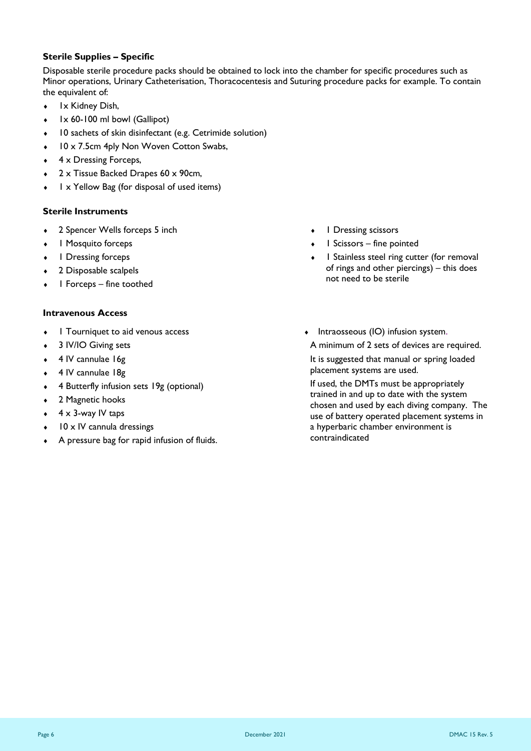#### **Sterile Supplies – Specific**

Disposable sterile procedure packs should be obtained to lock into the chamber for specific procedures such as Minor operations, Urinary Catheterisation, Thoracocentesis and Suturing procedure packs for example. To contain the equivalent of:

- 1x Kidney Dish,
- 1x 60-100 ml bowl (Gallipot)
- 10 sachets of skin disinfectant (e.g. Cetrimide solution)
- 10 x 7.5cm 4ply Non Woven Cotton Swabs,
- 4 x Dressing Forceps,
- 2 x Tissue Backed Drapes 60 x 90cm,
- 1 x Yellow Bag (for disposal of used items)

## **Sterile Instruments**

- 2 Spencer Wells forceps 5 inch
- 1 Mosquito forceps
- 1 Dressing forceps
- 2 Disposable scalpels
- 1 Forceps fine toothed

#### **Intravenous Access**

- 1 Tourniquet to aid venous access
- 3 IV/IO Giving sets
- 4 IV cannulae 16g
- 4 IV cannulae 18g
- 4 Butterfly infusion sets 19g (optional)
- 2 Magnetic hooks
- 4 x 3-way IV taps
- 10 x IV cannula dressings
- A pressure bag for rapid infusion of fluids.
- I Dressing scissors
- 1 Scissors fine pointed
- 1 Stainless steel ring cutter (for removal of rings and other piercings) – this does not need to be sterile
- $\bullet$  Intraosseous (IO) infusion system. A minimum of 2 sets of devices are required. It is suggested that manual or spring loaded placement systems are used.

If used, the DMTs must be appropriately trained in and up to date with the system chosen and used by each diving company. The use of battery operated placement systems in a hyperbaric chamber environment is contraindicated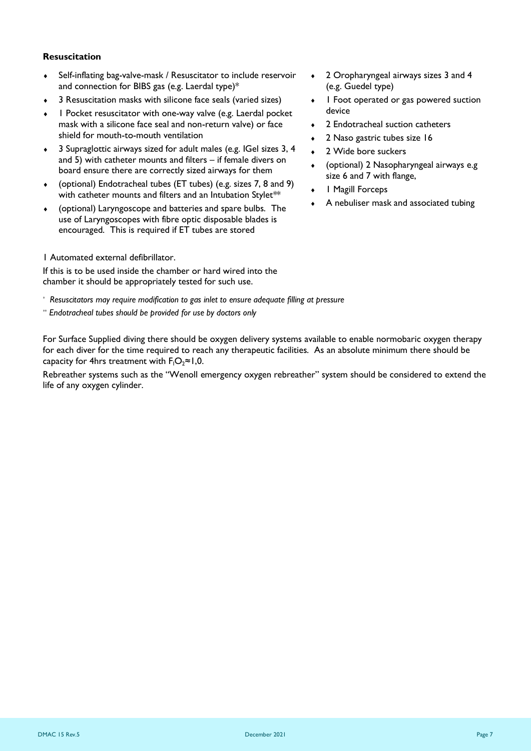#### **Resuscitation**

- Self-inflating bag-valve-mask / Resuscitator to include reservoir and connection for BIBS gas (e.g. Laerdal type)\*
- 3 Resuscitation masks with silicone face seals (varied sizes)
- 1 Pocket resuscitator with one-way valve (e.g. Laerdal pocket mask with a silicone face seal and non-return valve) or face shield for mouth-to-mouth ventilation
- 3 Supraglottic airways sized for adult males (e.g. IGel sizes 3, 4 and 5) with catheter mounts and filters – if female divers on board ensure there are correctly sized airways for them
- (optional) Endotracheal tubes (ET tubes) (e.g. sizes 7, 8 and 9) with catheter mounts and filters and an Intubation Stylet<sup>\*\*</sup>
- (optional) Laryngoscope and batteries and spare bulbs. The use of Laryngoscopes with fibre optic disposable blades is encouraged. This is required if ET tubes are stored
- 1 Automated external defibrillator.

If this is to be used inside the chamber or hard wired into the chamber it should be appropriately tested for such use.

- *\* Resuscitators may require modification to gas inlet to ensure adequate filling at pressure*
- *\*\* Endotracheal tubes should be provided for use by doctors only*
- 2 Oropharyngeal airways sizes 3 and 4 (e.g. Guedel type)
- I Foot operated or gas powered suction device
- 2 Endotracheal suction catheters
- 2 Naso gastric tubes size 16
- 2 Wide bore suckers
- (optional) 2 Nasopharyngeal airways e.g size 6 and 7 with flange,
- 1 Magill Forceps
- A nebuliser mask and associated tubing

For Surface Supplied diving there should be oxygen delivery systems available to enable normobaric oxygen therapy for each diver for the time required to reach any therapeutic facilities. As an absolute minimum there should be capacity for 4hrs treatment with  $F_1O_2 \approx 1,0$ .

Rebreather systems such as the "Wenoll emergency oxygen rebreather" system should be considered to extend the life of any oxygen cylinder.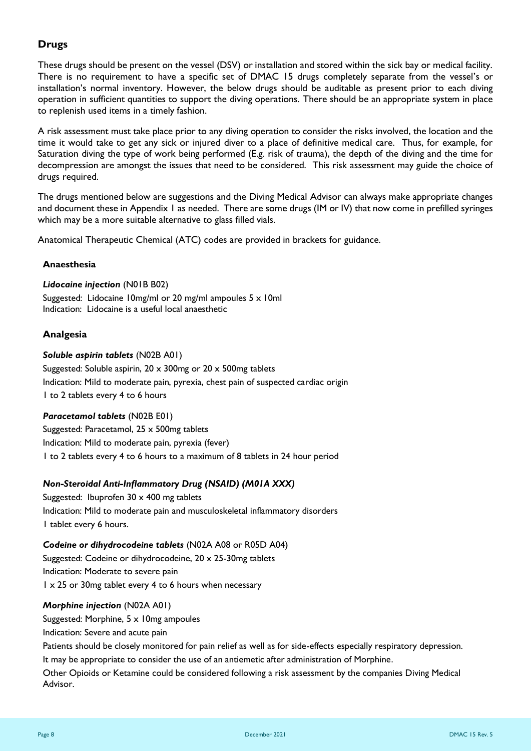## **Drugs**

These drugs should be present on the vessel (DSV) or installation and stored within the sick bay or medical facility. There is no requirement to have a specific set of DMAC 15 drugs completely separate from the vessel's or installation's normal inventory. However, the below drugs should be auditable as present prior to each diving operation in sufficient quantities to support the diving operations. There should be an appropriate system in place to replenish used items in a timely fashion.

A risk assessment must take place prior to any diving operation to consider the risks involved, the location and the time it would take to get any sick or injured diver to a place of definitive medical care. Thus, for example, for Saturation diving the type of work being performed (E.g. risk of trauma), the depth of the diving and the time for decompression are amongst the issues that need to be considered. This risk assessment may guide the choice of drugs required.

The drugs mentioned below are suggestions and the Diving Medical Advisor can always make appropriate changes and document these in Appendix 1 as needed. There are some drugs (IM or IV) that now come in prefilled syringes which may be a more suitable alternative to glass filled vials.

Anatomical Therapeutic Chemical (ATC) codes are provided in brackets for guidance.

#### **Anaesthesia**

#### *Lidocaine injection* (N01B B02)

Suggested: Lidocaine 10mg/ml or 20 mg/ml ampoules 5 x 10ml Indication: Lidocaine is a useful local anaesthetic

## **Analgesia**

#### *Soluble aspirin tablets* (N02B A01)

Suggested: Soluble aspirin, 20 x 300mg or 20 x 500mg tablets Indication: Mild to moderate pain, pyrexia, chest pain of suspected cardiac origin 1 to 2 tablets every 4 to 6 hours

## *Paracetamol tablets* (N02B E01)

Suggested: Paracetamol, 25 x 500mg tablets Indication: Mild to moderate pain, pyrexia (fever) 1 to 2 tablets every 4 to 6 hours to a maximum of 8 tablets in 24 hour period

## *Non-Steroidal Anti-Inflammatory Drug (NSAID) (M01A XXX)*

Suggested: Ibuprofen 30 x 400 mg tablets Indication: Mild to moderate pain and musculoskeletal inflammatory disorders 1 tablet every 6 hours.

## *Codeine or dihydrocodeine tablets* (N02A A08 or R05D A04)

Suggested: Codeine or dihydrocodeine, 20 x 25-30mg tablets Indication: Moderate to severe pain 1 x 25 or 30mg tablet every 4 to 6 hours when necessary

#### *Morphine injection* (N02A A01)

Suggested: Morphine, 5 x 10mg ampoules

Indication: Severe and acute pain

Patients should be closely monitored for pain relief as well as for side-effects especially respiratory depression. It may be appropriate to consider the use of an antiemetic after administration of Morphine.

Other Opioids or Ketamine could be considered following a risk assessment by the companies Diving Medical Advisor.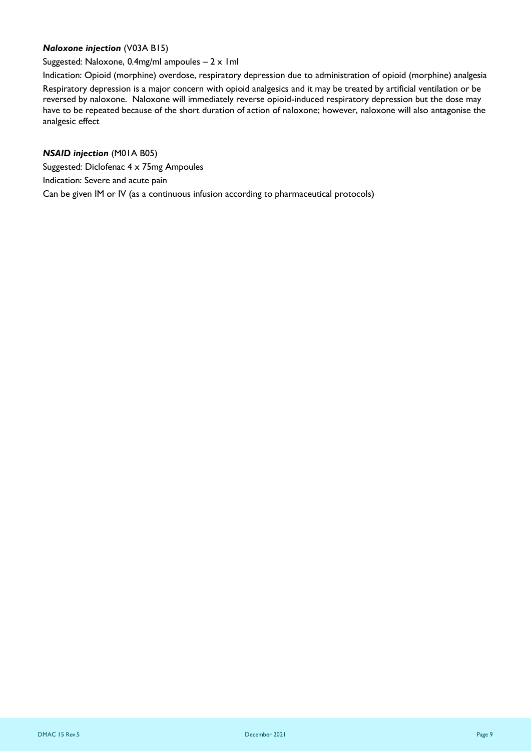## *Naloxone injection* (V03A B15)

Suggested: Naloxone, 0.4mg/ml ampoules  $-2 \times 1$ ml

Indication: Opioid (morphine) overdose, respiratory depression due to administration of opioid (morphine) analgesia Respiratory depression is a major concern with opioid analgesics and it may be treated by artificial ventilation or be reversed by naloxone. Naloxone will immediately reverse opioid-induced respiratory depression but the dose may have to be repeated because of the short duration of action of naloxone; however, naloxone will also antagonise the analgesic effect

*NSAID injection* (M01A B05) Suggested: Diclofenac 4 x 75mg Ampoules Indication: Severe and acute pain Can be given IM or IV (as a continuous infusion according to pharmaceutical protocols)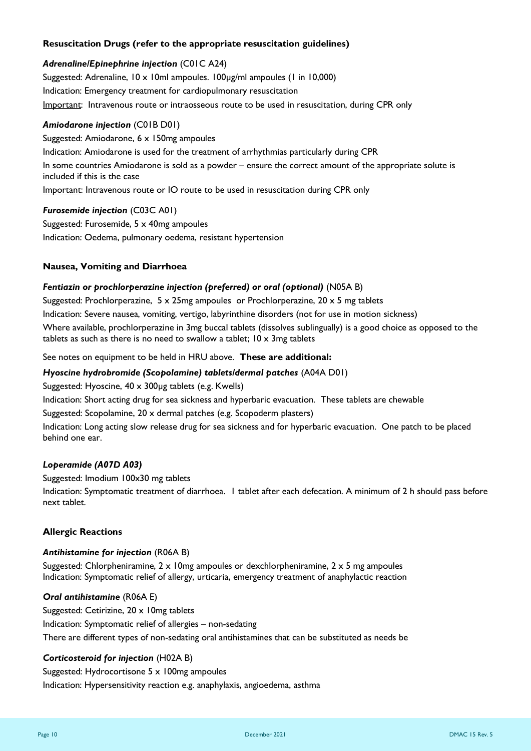#### **Resuscitation Drugs (refer to the appropriate resuscitation guidelines)**

#### *Adrenaline/Epinephrine injection* (C01C A24)

Suggested: Adrenaline, 10 x 10ml ampoules. 100µg/ml ampoules (1 in 10,000) Indication: Emergency treatment for cardiopulmonary resuscitation Important: Intravenous route or intraosseous route to be used in resuscitation, during CPR only

#### *Amiodarone injection* (C01B D01)

Suggested: Amiodarone, 6 x 150mg ampoules Indication: Amiodarone is used for the treatment of arrhythmias particularly during CPR In some countries Amiodarone is sold as a powder – ensure the correct amount of the appropriate solute is included if this is the case Important: Intravenous route or IO route to be used in resuscitation during CPR only

#### *Furosemide injection* (C03C A01)

Suggested: Furosemide, 5 x 40mg ampoules Indication: Oedema, pulmonary oedema, resistant hypertension

#### **Nausea, Vomiting and Diarrhoea**

#### *Fentiazin or prochlorperazine injection (preferred) or oral (optional)* (N05A B)

Suggested: Prochlorperazine,  $5 \times 25$ mg ampoules or Prochlorperazine,  $20 \times 5$  mg tablets

Indication: Severe nausea, vomiting, vertigo, labyrinthine disorders (not for use in motion sickness)

Where available, prochlorperazine in 3mg buccal tablets (dissolves sublingually) is a good choice as opposed to the tablets as such as there is no need to swallow a tablet;  $10 \times 3$ mg tablets

See notes on equipment to be held in HRU above. **These are additional:**

#### *Hyoscine hydrobromide (Scopolamine) tablets/dermal patches* (A04A D01)

Suggested: Hyoscine, 40 x 300µg tablets (e.g. Kwells)

Indication: Short acting drug for sea sickness and hyperbaric evacuation. These tablets are chewable

Suggested: Scopolamine, 20 x dermal patches (e.g. Scopoderm plasters)

Indication: Long acting slow release drug for sea sickness and for hyperbaric evacuation. One patch to be placed behind one ear.

#### *Loperamide (A07D A03)*

Suggested: Imodium 100x30 mg tablets Indication: Symptomatic treatment of diarrhoea. 1 tablet after each defecation. A minimum of 2 h should pass before next tablet.

#### **Allergic Reactions**

#### *Antihistamine for injection* (R06A B)

Suggested: Chlorpheniramine,  $2 \times 10$ mg ampoules or dexchlorpheniramine,  $2 \times 5$  mg ampoules Indication: Symptomatic relief of allergy, urticaria, emergency treatment of anaphylactic reaction

#### *Oral antihistamine* (R06A E)

Suggested: [Cetirizine,](http://bnf.org/bnf/bnf/current/41001i307.htm) 20 x 10mg tablets Indication: Symptomatic relief of allergies – non-sedating There are different types of non-sedating oral antihistamines that can be substituted as needs be

#### *Corticosteroid for injection* (H02A B)

Suggested: Hydrocortisone 5 x 100mg ampoules Indication: Hypersensitivity reaction e.g. anaphylaxis, angioedema, asthma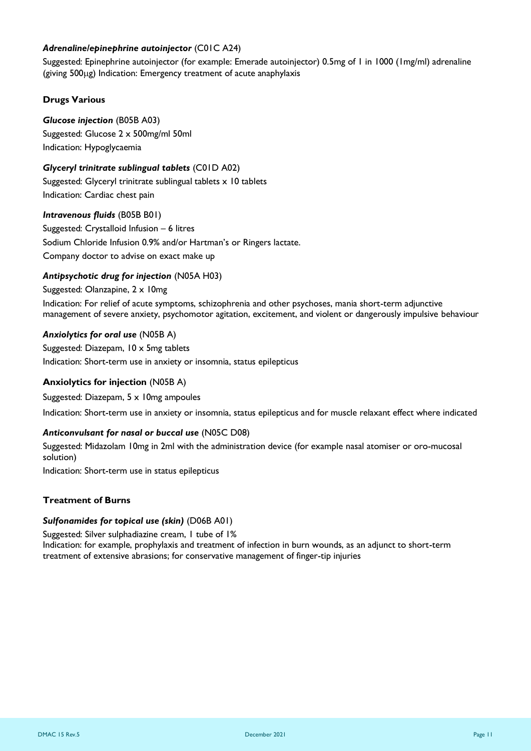#### *Adrenaline/epinephrine autoinjector* (C01C A24)

Suggested: Epinephrine autoinjector (for example: Emerade autoinjector) 0.5mg of 1 in 1000 (1mg/ml) adrenaline  $(giving 500<sub>µg</sub>)$  Indication: Emergency treatment of acute anaphylaxis

#### **Drugs Various**

*Glucose injection* (B05B A03) Suggested: Glucose 2 x 500mg/ml 50ml Indication: Hypoglycaemia

#### *Glyceryl trinitrate sublingual tablets* (C01D A02)

Suggested: Glyceryl trinitrate sublingual tablets x 10 tablets Indication: Cardiac chest pain

#### *Intravenous fluids* (B05B B01)

Suggested: Crystalloid Infusion – 6 litres Sodium Chloride Infusion 0.9% and/or Hartman's or Ringers lactate. Company doctor to advise on exact make up

#### *Antipsychotic drug for injection* (N05A H03)

Suggested: Olanzapine, 2 x 10mg Indication: For relief of acute symptoms, schizophrenia and other psychoses, mania short-term adjunctive management of severe anxiety, psychomotor agitation, excitement, and violent or dangerously impulsive behaviour

#### *Anxiolytics for oral use* (N05B A)

Suggested: Diazepam, 10 x 5mg tablets Indication: Short-term use in anxiety or insomnia, status epilepticus

## **Anxiolytics for injection** (N05B A)

Suggested: Diazepam, 5 x 10mg ampoules

Indication: Short-term use in anxiety or insomnia, status epilepticus and for muscle relaxant effect where indicated

#### *Anticonvulsant for nasal or buccal use* (N05C D08)

Suggested: Midazolam 10mg in 2ml with the administration device (for example nasal atomiser or oro-mucosal solution)

Indication: Short-term use in status epilepticus

#### **Treatment of Burns**

#### *Sulfonamides for topical use (skin)* (D06B A01)

Suggested: Silver sulphadiazine cream, 1 tube of 1%

Indication: for example, prophylaxis and treatment of infection in burn wounds, as an adjunct to short-term treatment of extensive abrasions; for conservative management of finger-tip injuries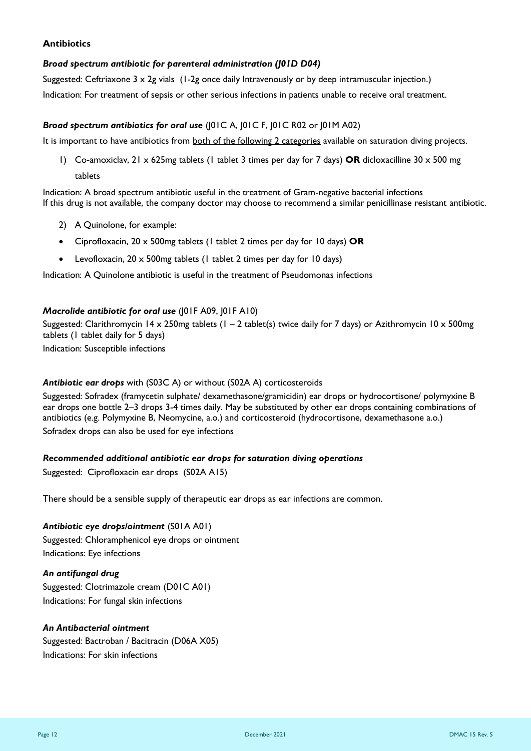#### **Antibiotics**

#### *Broad spectrum antibiotic for parenteral administration (J01D D04)*

Suggested: Ceftriaxone 3 x 2g vials (1-2g once daily Intravenously or by deep intramuscular injection.) Indication: For treatment of sepsis or other serious infections in patients unable to receive oral treatment.

#### *Broad spectrum antibiotics for oral use* (J01C A, J01C F, J01C R02 or J01M A02)

It is important to have antibiotics from both of the following 2 categories available on saturation diving projects.

1) Co-amoxiclav, 21 x 625mg tablets (1 tablet 3 times per day for 7 days) **OR** dicloxacilline 30 x 500 mg tablets

Indication: A broad spectrum antibiotic useful in the treatment of Gram-negative bacterial infections If this drug is not available, the company doctor may choose to recommend a similar penicillinase resistant antibiotic.

- 2) A Quinolone, for example:
- Ciprofloxacin, 20 x 500mg tablets (1 tablet 2 times per day for 10 days) **OR**
- Levofloxacin, 20 x 500mg tablets (1 tablet 2 times per day for 10 days)

Indication: A Quinolone antibiotic is useful in the treatment of Pseudomonas infections

#### *Macrolide antibiotic for oral use* (J01F A09, J01F A10)

Suggested: Clarithromycin 14 x 250mg tablets (1 – 2 tablet(s) twice daily for 7 days) or Azithromycin 10 x 500mg tablets (1 tablet daily for 5 days)

Indication: Susceptible infections

#### *Antibiotic ear drops* with (S03C A) or without (S02A A) corticosteroids

Suggested: Sofradex (framycetin sulphate/ dexamethasone/gramicidin) ear drops or hydrocortisone/ polymyxine B ear drops one bottle 2–3 drops 3-4 times daily. May be substituted by other ear drops containing combinations of antibiotics (e.g. Polymyxine B, Neomycine, a.o.) and corticosteroid (hydrocortisone, dexamethasone a.o.) Sofradex drops can also be used for eye infections

#### *Recommended additional antibiotic ear drops for saturation diving operations*

Suggested: Ciprofloxacin ear drops (S02A A15)

There should be a sensible supply of therapeutic ear drops as ear infections are common.

*Antibiotic eye drops/ointment* (S01A A01) Suggested: Chloramphenicol eye drops or ointment Indications: Eye infections

*An antifungal drug*  Suggested: Clotrimazole cream (D01C A01) Indications: For fungal skin infections

#### *An Antibacterial ointment*

Suggested: Bactroban / Bacitracin (D06A X05) Indications: For skin infections